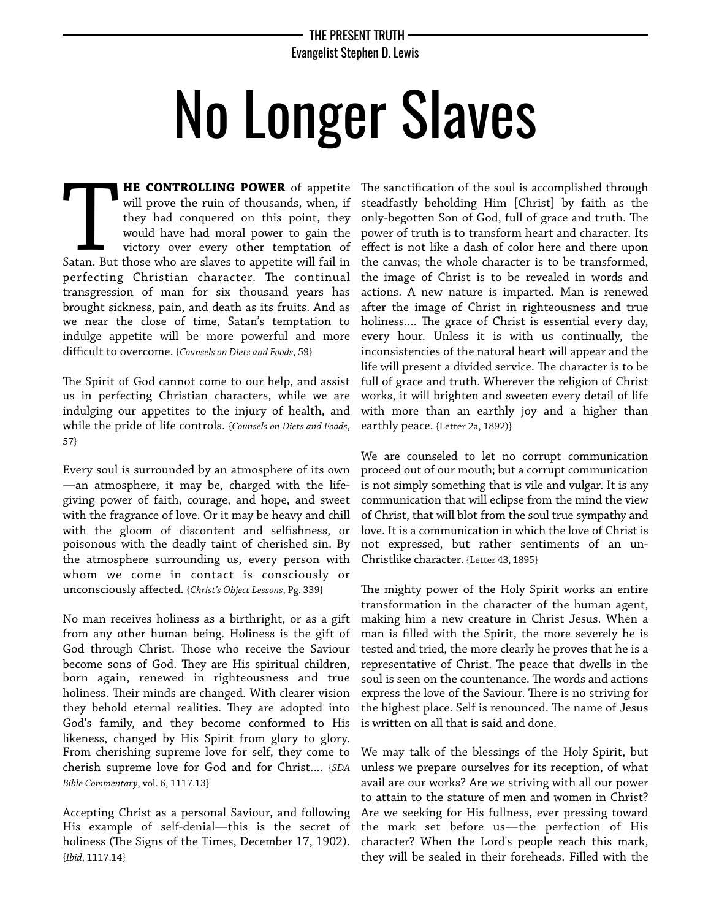## THE PRESENT TRUTH Evangelist Stephen D. Lewis

## No Longer Slaves

**HE CONTROLLING POWER** of appetite will prove the ruin of thousands, when, if they had conquered on this point, they would have had moral power to gain the victory over every other temptation of **HE CONTROLLING POWER** of appetite will prove the ruin of thousands, when, if they had conquered on this point, they would have had moral power to gain the victory over every other temptation of Satan. But those who are sl perfecting Christian character. The continual transgression of man for six thousand years has brought sickness, pain, and death as its fruits. And as we near the close of time, Satan's temptation to indulge appetite will be more powerful and more difficult to overcome. {*Counsels on Diets and Foods*, 59}

The Spirit of God cannot come to our help, and assist us in perfecting Christian characters, while we are indulging our appetites to the injury of health, and while the pride of life controls. {*Counsels on Diets and Foods*, 57}

Every soul is surrounded by an atmosphere of its own —an atmosphere, it may be, charged with the lifegiving power of faith, courage, and hope, and sweet with the fragrance of love. Or it may be heavy and chill with the gloom of discontent and selfshness, or poisonous with the deadly taint of cherished sin. By the atmosphere surrounding us, every person with whom we come in contact is consciously or unconsciously affected. {*Christ's Object Lessons*, Pg. 339}

No man receives holiness as a birthright, or as a gift from any other human being. Holiness is the gift of God through Christ. Those who receive the Saviour become sons of God. They are His spiritual children, born again, renewed in righteousness and true holiness. Their minds are changed. With clearer vision they behold eternal realities. They are adopted into God's family, and they become conformed to His likeness, changed by His Spirit from glory to glory. From cherishing supreme love for self, they come to cherish supreme love for God and for Christ.... {*SDA Bible Commentary*, vol. 6, 1117.13}

Accepting Christ as a personal Saviour, and following His example of self-denial—this is the secret of holiness (The Signs of the Times, December 17, 1902). {*Ibid*, 1117.14}

The sanctification of the soul is accomplished through steadfastly beholding Him [Christ] by faith as the only-begotten Son of God, full of grace and truth. The power of truth is to transform heart and character. Its effect is not like a dash of color here and there upon the canvas; the whole character is to be transformed, the image of Christ is to be revealed in words and actions. A new nature is imparted. Man is renewed after the image of Christ in righteousness and true holiness.... The grace of Christ is essential every day, every hour. Unless it is with us continually, the inconsistencies of the natural heart will appear and the life will present a divided service. The character is to be full of grace and truth. Wherever the religion of Christ works, it will brighten and sweeten every detail of life with more than an earthly joy and a higher than earthly peace. {Letter 2a, 1892)}

We are counseled to let no corrupt communication proceed out of our mouth; but a corrupt communication is not simply something that is vile and vulgar. It is any communication that will eclipse from the mind the view of Christ, that will blot from the soul true sympathy and love. It is a communication in which the love of Christ is not expressed, but rather sentiments of an un-Christlike character. {Letter 43, 1895}

The mighty power of the Holy Spirit works an entire transformation in the character of the human agent, making him a new creature in Christ Jesus. When a man is flled with the Spirit, the more severely he is tested and tried, the more clearly he proves that he is a representative of Christ. The peace that dwells in the soul is seen on the countenance. The words and actions express the love of the Saviour. There is no striving for the highest place. Self is renounced. The name of Jesus is written on all that is said and done.

We may talk of the blessings of the Holy Spirit, but unless we prepare ourselves for its reception, of what avail are our works? Are we striving with all our power to attain to the stature of men and women in Christ? Are we seeking for His fullness, ever pressing toward the mark set before us—the perfection of His character? When the Lord's people reach this mark, they will be sealed in their foreheads. Filled with the